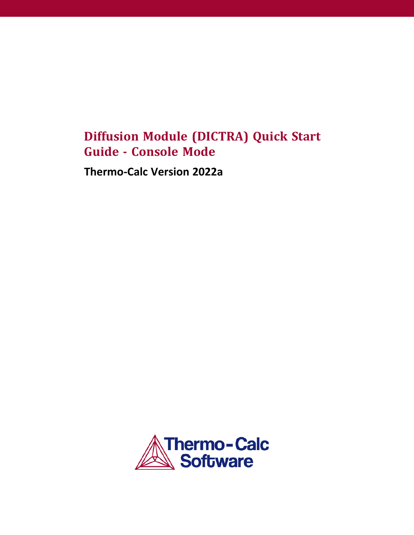# **Diffusion Module (DICTRA) Quick Start Guide - Console Mode**

**Thermo-Calc Version 2022a**

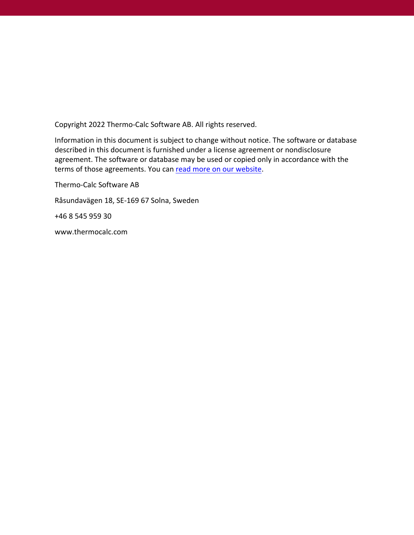Copyright 2022 Thermo-Calc Software AB. All rights reserved.

Information in this document is subject to change without notice. The software or database described in this document is furnished under a license agreement or nondisclosure agreement. The software or database may be used or copied only in accordance with the terms of those agreements. You can read more on our [website](https://thermocalc.com/terms-and-conditions-for-the-purchase/).

Thermo-Calc Software AB Råsundavägen 18, SE-169 67 Solna, Sweden +46 8 545 959 30 www.thermocalc.com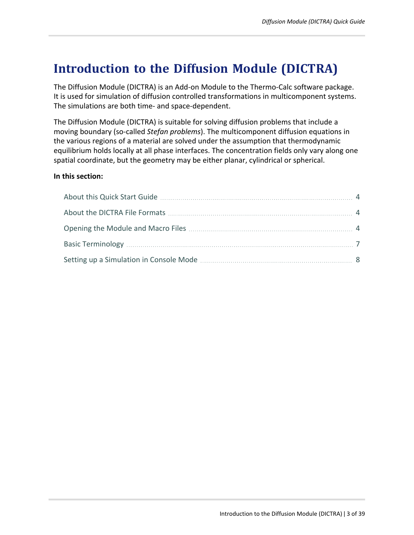# **Introduction to the Diffusion Module (DICTRA)**

The Diffusion Module (DICTRA) is an Add-on Module to the Thermo-Calc software package. It is used for simulation of diffusion controlled transformations in multicomponent systems. The simulations are both time- and space-dependent.

The Diffusion Module (DICTRA) is suitable for solving diffusion problems that include a moving boundary (so-called *Stefan problems*). The multicomponent diffusion equations in the various regions of a material are solved under the assumption that thermodynamic equilibrium holds locally at all phase interfaces. The concentration fields only vary along one spatial coordinate, but the geometry may be either planar, cylindrical or spherical.

### **In this section:**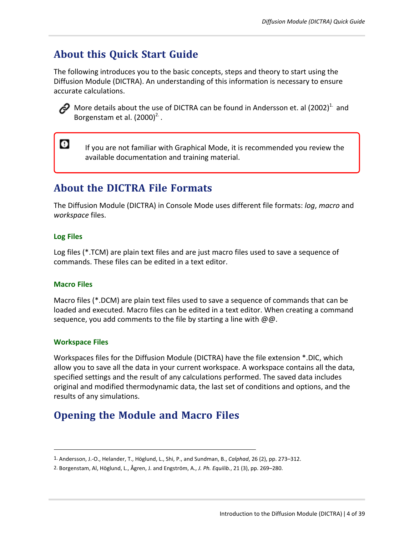# <span id="page-3-0"></span>**About this Quick Start Guide**

The following introduces you to the basic concepts, steps and theory to start using the Diffusion Module (DICTRA). An understanding of this information is necessary to ensure accurate calculations.



 $\bullet$ 

More details about the use of DICTRA can be found in Andersson et. al (2002)<sup>1.</sup> and Borgenstam et al.  $(2000)^2$ .

If you are not familiar with Graphical Mode, it is recommended you review the available documentation and training material.

# <span id="page-3-1"></span>**About the DICTRA File Formats**

The Diffusion Module (DICTRA) in Console Mode uses different file formats: *log*, *macro* and *workspace* files.

### **Log Files**

Log files (\*.TCM) are plain text files and are just macro files used to save a sequence of commands. These files can be edited in a text editor.

### **Macro Files**

Macro files (\*.DCM) are plain text files used to save a sequence of commands that can be loaded and executed. Macro files can be edited in a text editor. When creating a command sequence, you add comments to the file by starting a line with  $\omega\omega$ .

### **Workspace Files**

Workspaces files for the Diffusion Module (DICTRA) have the file extension \*.DIC, which allow you to save all the data in your current workspace. A workspace contains all the data, specified settings and the result of any calculations performed. The saved data includes original and modified thermodynamic data, the last set of conditions and options, and the results of any simulations.

# <span id="page-3-2"></span>**Opening the Module and Macro Files**

<sup>1.</sup> Andersson, J.-O., Helander, T., Höglund, L., Shi, P., and Sundman, B., *Calphad*, 26 (2), pp. 273–312.

<sup>2.</sup> Borgenstam, Al, Höglund, L., Ågren, J. and Engström, A., *J. Ph. Equilib.*, 21 (3), pp. 269–280.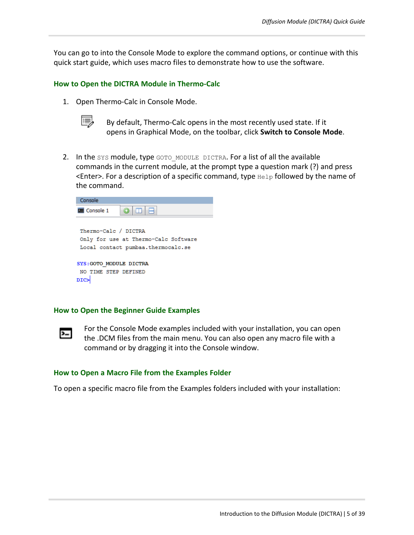You can go to into the Console Mode to explore the command options, or continue with this quick start guide, which uses macro files to demonstrate how to use the software.

#### **How to Open the DICTRA Module in Thermo-Calc**

1. Open Thermo-Calc in Console Mode.



By default, Thermo-Calc opens in the most recently used state. If it opens in Graphical Mode, on the toolbar, click **Switch to Console Mode**.

2. In the SYS module, type GOTO\_MODULE DICTRA. For a list of all the available commands in the current module, at the prompt type a question mark (?) and press  $\leq$  Enter>. For a description of a specific command, type  $H$ elp followed by the name of the command.



#### **How to Open the Beginner Guide Examples**



For the Console Mode examples included with your installation, you can open the .DCM files from the main menu. You can also open any macro file with a command or by dragging it into the Console window.

#### **How to Open a Macro File from the Examples Folder**

To open a specific macro file from the Examples folders included with your installation: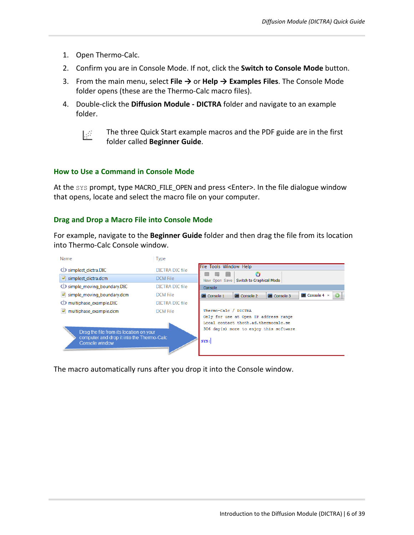- 1. Open Thermo-Calc.
- 2. Confirm you are in Console Mode. If not, click the **Switch to Console Mode** button.
- 3. From the main menu, select **File →** or **Help → Examples Files**. The Console Mode folder opens (these are the Thermo-Calc macro files).
- 4. Double-click the **Diffusion Module - DICTRA** folder and navigate to an example folder.
	- Į₫

The three Quick Start example macros and the PDF guide are in the first folder called **Beginner Guide**.

#### **How to Use a Command in Console Mode**

At the SYS prompt, type MACRO\_FILE\_OPEN and press <Enter>. In the file dialogue window that opens, locate and select the macro file on your computer.

#### **Drag and Drop a Macro File into Console Mode**

For example, navigate to the **Beginner Guide** folder and then drag the file from its location into Thermo-Calc Console window.



The macro automatically runs after you drop it into the Console window.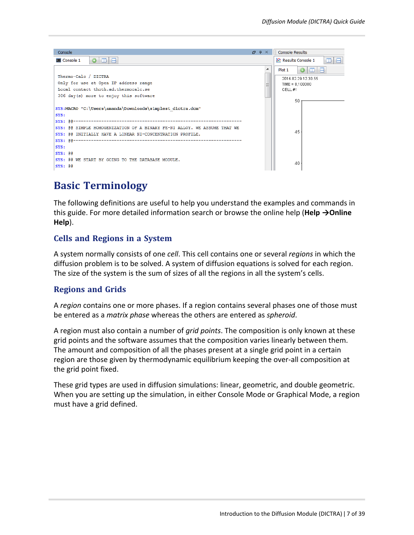

# <span id="page-6-0"></span>**Basic Terminology**

The following definitions are useful to help you understand the examples and commands in this guide. For more detailed information search or browse the online help (**Help →Online Help**).

### **Cells and Regions in a System**

A system normally consists of one *cell*. This cell contains one or several *regions* in which the diffusion problem is to be solved. A system of diffusion equations is solved for each region. The size of the system is the sum of sizes of all the regions in all the system's cells.

### **Regions and Grids**

A *region* contains one or more phases. If a region contains several phases one of those must be entered as a *matrix phase* whereas the others are entered as *spheroid*.

A region must also contain a number of *grid points*. The composition is only known at these grid points and the software assumes that the composition varies linearly between them. The amount and composition of all the phases present at a single grid point in a certain region are those given by thermodynamic equilibrium keeping the over-all composition at the grid point fixed.

These grid types are used in diffusion simulations: linear, geometric, and double geometric. When you are setting up the simulation, in either Console Mode or Graphical Mode, a region must have a grid defined.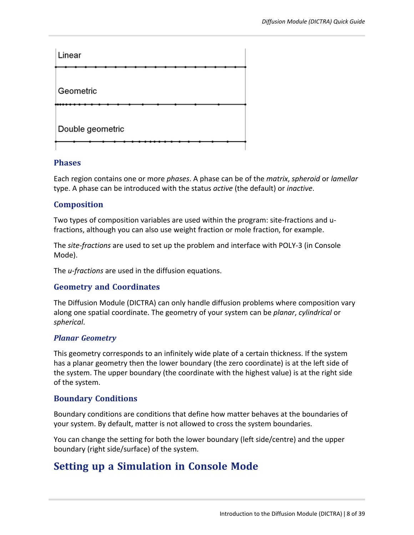

### **Phases**

Each region contains one or more *phases*. A phase can be of the *matrix*, *spheroid* or *lamellar* type. A phase can be introduced with the status *active* (the default) or *inactive*.

### **Composition**

Two types of composition variables are used within the program: site-fractions and ufractions, although you can also use weight fraction or mole fraction, for example.

The *site-fractions* are used to set up the problem and interface with POLY-3 (in Console Mode).

The *u-fractions* are used in the diffusion equations.

### **Geometry and Coordinates**

The Diffusion Module (DICTRA) can only handle diffusion problems where composition vary along one spatial coordinate. The geometry of your system can be *planar*, *cylindrical* or *spherical*.

### *Planar Geometry*

This geometry corresponds to an infinitely wide plate of a certain thickness. If the system has a planar geometry then the lower boundary (the zero coordinate) is at the left side of the system. The upper boundary (the coordinate with the highest value) is at the right side of the system.

### **Boundary Conditions**

Boundary conditions are conditions that define how matter behaves at the boundaries of your system. By default, matter is not allowed to cross the system boundaries.

<span id="page-7-0"></span>You can change the setting for both the lower boundary (left side/centre) and the upper boundary (right side/surface) of the system.

## **Setting up a Simulation in Console Mode**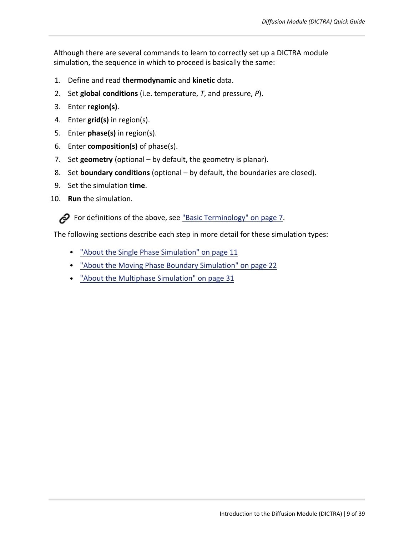Although there are several commands to learn to correctly set up a DICTRA module simulation, the sequence in which to proceed is basically the same:

- 1. Define and read **thermodynamic** and **kinetic** data.
- 2. Set **global conditions** (i.e. temperature, *T*, and pressure, *P*).
- 3. Enter **region(s)**.
- 4. Enter **grid(s)** in region(s).
- 5. Enter **phase(s)** in region(s).
- 6. Enter **composition(s)** of phase(s).
- 7. Set **geometry** (optional by default, the geometry is planar).
- 8. Set **boundary conditions** (optional by default, the boundaries are closed).
- 9. Set the simulation **time**.
- 10. **Run** the simulation.

For definitions of the above, see "Basic [Terminology"](#page-6-0) on page  $7$ .

The following sections describe each step in more detail for these simulation types:

- "About the Single Phase [Simulation"](#page-10-0) on page 11
- "About the Moving Phase Boundary [Simulation"](#page-21-0) on page 22
- "About the Multiphase [Simulation"](#page-30-0) on page 31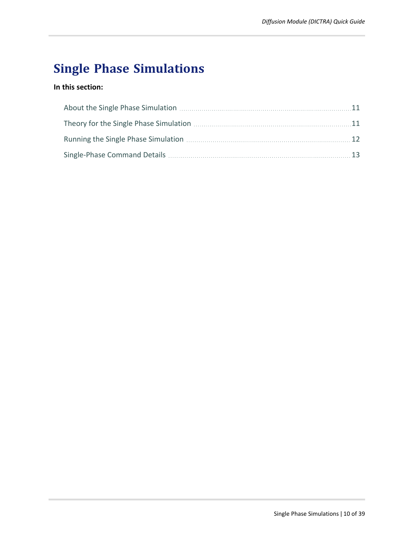# **Single Phase Simulations**

### **In this section:**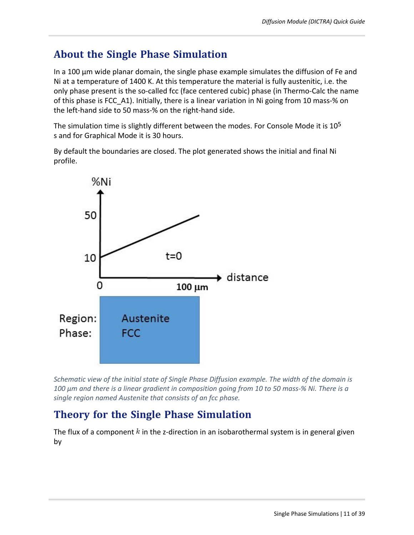# <span id="page-10-0"></span>**About the Single Phase Simulation**

In a 100 μm wide planar domain, the single phase example simulates the diffusion of Fe and Ni at a temperature of 1400 K. At this temperature the material is fully austenitic, i.e. the only phase present is the so-called fcc (face centered cubic) phase (in Thermo-Calc the name of this phase is FCC\_A1). Initially, there is a linear variation in Ni going from 10 mass-% on the left-hand side to 50 mass-% on the right-hand side.

The simulation time is slightly different between the modes. For Console Mode it is 10<sup>5</sup> s and for Graphical Mode it is 30 hours.

By default the boundaries are closed. The plot generated shows the initial and final Ni profile.



*Schematic view of the initial state of Single Phase Diffusion example. The width of the domain is* 100 µm and there is a linear gradient in composition going from 10 to 50 mass-% Ni. There is a *single region named Austenite that consists of an fcc phase.*

# <span id="page-10-1"></span>**Theory for the Single Phase Simulation**

The flux of a component  $k$  in the z-direction in an isobarothermal system is in general given by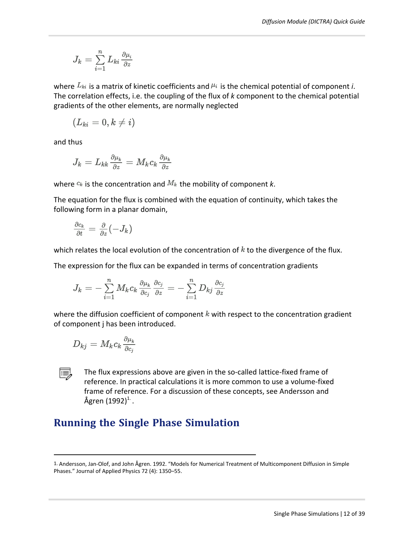$$
J_k = \sum_{i=1}^n L_{ki} \frac{\partial \mu_i}{\partial z}
$$

where  $L_{ki}$  is a matrix of kinetic coefficients and  $\mu_i$  is the chemical potential of component *i*. The correlation effects, i.e. the coupling of the flux of *k* component to the chemical potential gradients of the other elements, are normally neglected

$$
(L_{ki}=0,k\neq i)
$$

and thus

$$
J_k=L_{kk}\tfrac{\partial \mu_k}{\partial z}=M_kc_k\tfrac{\partial \mu_k}{\partial z}
$$

where  $c_k$  is the concentration and  $M_k$  the mobility of component  $k$ .

The equation for the flux is combined with the equation of continuity, which takes the following form in a planar domain,

$$
\tfrac{\partial c_k}{\partial t} = \tfrac{\partial}{\partial z}(-J_k)
$$

which relates the local evolution of the concentration of  $k$  to the divergence of the flux.

The expression for the flux can be expanded in terms of concentration gradients

$$
J_k=-\sum_{i=1}^n M_k c_k \tfrac{\partial \mu_k}{\partial c_j} \tfrac{\partial c_j}{\partial z}=-\sum_{i=1}^n D_{kj} \tfrac{\partial c_j}{\partial z}
$$

where the diffusion coefficient of component  $k$  with respect to the concentration gradient of component j has been introduced.

$$
D_{kj}=M_kc_k\tfrac{\partial \mu_k}{\partial c_j}
$$



The flux expressions above are given in the so-called lattice-fixed frame of reference. In practical calculations it is more common to use a volume-fixed frame of reference. For a discussion of these concepts, see Andersson and Ågren (1992) $^1$  .

# <span id="page-11-0"></span>**Running the Single Phase Simulation**

<sup>1.</sup> Andersson, Jan-Olof, and John Ågren. 1992. "Models for Numerical Treatment of Multicomponent Diffusion in Simple Phases." Journal of Applied Physics 72 (4): 1350–55.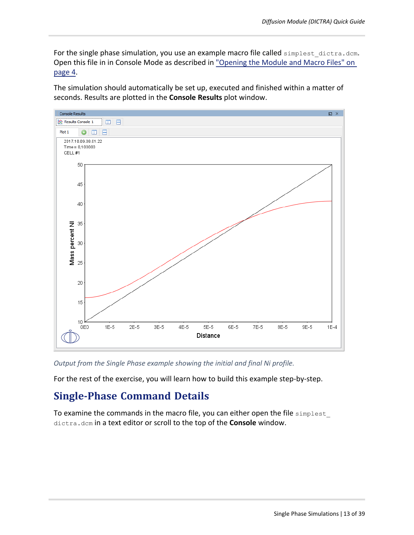For the single phase simulation, you use an example macro file called simplest dictra.dcm. Open this file in in Console Mode as described in "Opening [the Module](#page-3-2) and Macro Files" on [page 4](#page-3-2).

The simulation should automatically be set up, executed and finished within a matter of seconds. Results are plotted in the **Console Results** plot window.



*Output from the Single Phase example showing the initial and final Ni profile.*

<span id="page-12-0"></span>For the rest of the exercise, you will learn how to build this example step-by-step.

# **Single-Phase Command Details**

To examine the commands in the macro file, you can either open the file simplest\_ dictra.dcm in a text editor or scroll to the top of the **Console** window.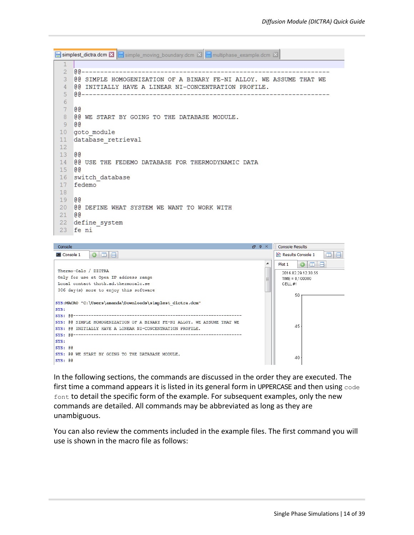Simplest\_dictra.dcm **X** | simple\_moving\_boundary.dcm **X** | multiphase\_example.dcm **X**  $\mathbf{1}$ 00------------ $2^{\circ}$ 3 @@ SIMPLE HOMOGENIZATION OF A BINARY FE-NI ALLOY. WE ASSUME THAT WE 4 @@ INITIALLY HAVE A LINEAR NI-CONCENTRATION PROFILE. 6  $7<sup>1</sup>$ ദേ 8 @@ WE START BY GOING TO THE DATABASE MODULE. 9 GG 10 goto module 11 database retrieval  $12<sup>°</sup>$ 13 00 14 @@ USE THE FEDEMO DATABASE FOR THERMODYNAMIC DATA 15 @@ 16 switch database 17 fedemo  $18$ 19 @@ 20 @@ DEFINE WHAT SYSTEM WE WANT TO WORK WITH 21 00 22 define system 23 fe ni



In the following sections, the commands are discussed in the order they are executed. The first time a command appears it is listed in its general form in UPPERCASE and then using code font to detail the specific form of the example. For subsequent examples, only the new commands are detailed. All commands may be abbreviated as long as they are unambiguous.

You can also review the comments included in the example files. The first command you will use is shown in the macro file as follows: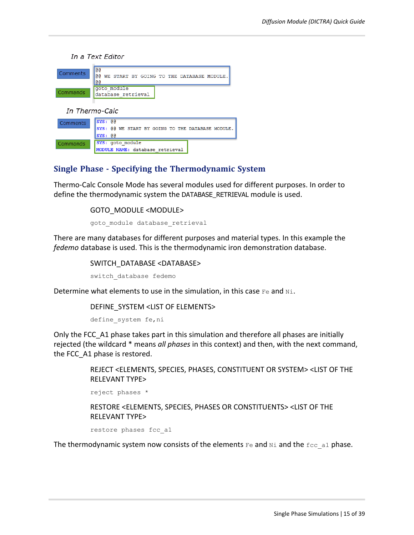In a Text Editor



| ------------ | $Isys: \theta$   |  |  |                                 |  | SYS: @@ WE START BY GOING TO THE DATABASE MODULE. |  |
|--------------|------------------|--|--|---------------------------------|--|---------------------------------------------------|--|
| Commands     | SYS: goto module |  |  |                                 |  |                                                   |  |
|              |                  |  |  | MODULE NAME: database retrieval |  |                                                   |  |

### **Single Phase - Specifying the Thermodynamic System**

Thermo-Calc Console Mode has several modules used for different purposes. In order to define the thermodynamic system the DATABASE\_RETRIEVAL module is used.

#### GOTO\_MODULE <MODULE>

goto module database retrieval

There are many databases for different purposes and material types. In this example the *fedemo* database is used. This is the thermodynamic iron demonstration database.

SWITCH\_DATABASE <DATABASE>

switch\_database fedemo

Determine what elements to use in the simulation, in this case  $F$ e and  $N\dot{\text{m}}$ .

DEFINE\_SYSTEM <LIST OF ELEMENTS>

define system fe, ni

Only the FCC\_A1 phase takes part in this simulation and therefore all phases are initially rejected (the wildcard \* means *all phases* in this context) and then, with the next command, the FCC\_A1 phase is restored.

> REJECT <ELEMENTS, SPECIES, PHASES, CONSTITUENT OR SYSTEM> <LIST OF THE RELEVANT TYPE>

reject phases \*

RESTORE <ELEMENTS, SPECIES, PHASES OR CONSTITUENTS> <LIST OF THE RELEVANT TYPE>

restore phases fcc\_a1

The thermodynamic system now consists of the elements  $F$ e and  $N$ i and the  $f$ cc a1 phase.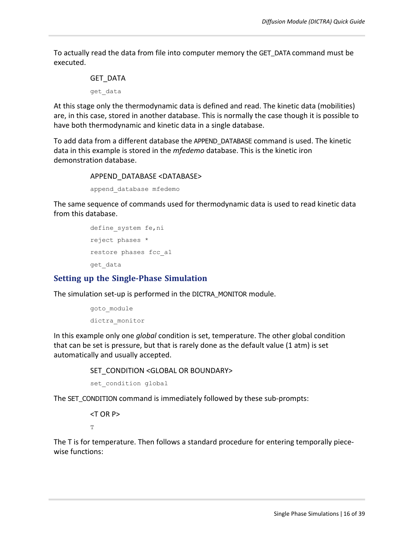To actually read the data from file into computer memory the GET\_DATA command must be executed.

## GET\_DATA get\_data

At this stage only the thermodynamic data is defined and read. The kinetic data (mobilities) are, in this case, stored in another database. This is normally the case though it is possible to have both thermodynamic and kinetic data in a single database.

To add data from a different database the APPEND\_DATABASE command is used. The kinetic data in this example is stored in the *mfedemo* database. This is the kinetic iron demonstration database.

#### APPEND\_DATABASE <DATABASE>

append\_database mfedemo

The same sequence of commands used for thermodynamic data is used to read kinetic data from this database.

```
define system fe, ni
reject phases *
restore phases fcc_a1
get_data
```
### **Setting up the Single-Phase Simulation**

The simulation set-up is performed in the DICTRA\_MONITOR module.

```
goto module
dictra_monitor
```
In this example only one *global* condition is set, temperature. The other global condition that can be set is pressure, but that is rarely done as the default value (1 atm) is set automatically and usually accepted.

SET\_CONDITION <GLOBAL OR BOUNDARY>

set condition global

The SET\_CONDITION command is immediately followed by these sub-prompts:

<T OR P>  $\mathbb{T}$ 

The T is for temperature. Then follows a standard procedure for entering temporally piecewise functions: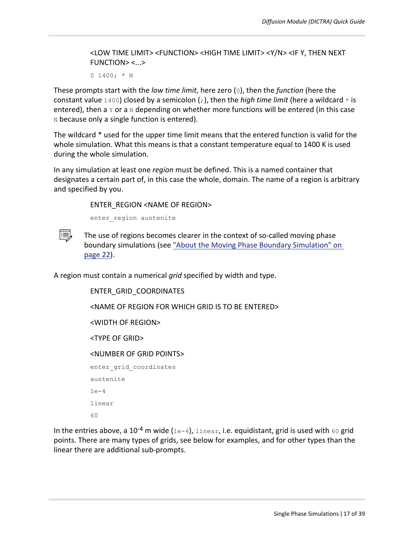<LOW TIME LIMIT> <FUNCTION> <HIGH TIME LIMIT> <Y/N> <IF Y, THEN NEXT FUNCTION> <...>

0 1400;  $*$  N

These prompts start with the *low time limit*, here zero (0), then the *function* (here the constant value 1400) closed by a semicolon (;), then the *high time limit* (here a wildcard \* is entered), then a  $Y$  or a  $N$  depending on whether more functions will be entered (in this case  $N$  because only a single function is entered).

The wildcard \* used for the upper time limit means that the entered function is valid for the whole simulation. What this means is that a constant temperature equal to 1400 K is used during the whole simulation.

In any simulation at least one *region* must be defined. This is a named container that designates a certain part of, in this case the whole, domain. The name of a region is arbitrary and specified by you.

ENTER\_REGION <NAME OF REGION>

enter region austenite



The use of regions becomes clearer in the context of so-called moving phase boundary simulations (see "About the Moving Phase Boundary [Simulation"](#page-21-0) on [page 22](#page-21-0)).

A region must contain a numerical *grid* specified by width and type.

ENTER\_GRID\_COORDINATES <NAME OF REGION FOR WHICH GRID IS TO BE ENTERED> <WIDTH OF REGION> <TYPE OF GRID> <NUMBER OF GRID POINTS> enter grid coordinates austenite 1e-4 linear

60

In the entries above, a 10<sup>-4</sup> m wide (1e-4), linear, i.e. equidistant, grid is used with 60 grid points. There are many types of grids, see below for examples, and for other types than the linear there are additional sub-prompts.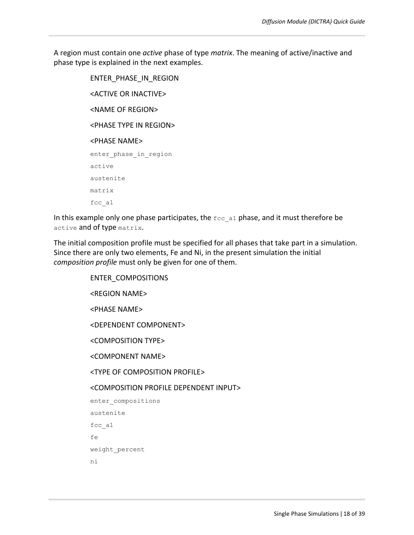A region must contain one *active* phase of type *matrix*. The meaning of active/inactive and phase type is explained in the next examples.

> ENTER\_PHASE\_IN\_REGION <ACTIVE OR INACTIVE> <NAME OF REGION> <PHASE TYPE IN REGION> <PHASE NAME> enter phase in region active austenite matrix fcc\_a1

In this example only one phase participates, the  $fcc_{a1}$  phase, and it must therefore be active and of type matrix.

The initial composition profile must be specified for all phases that take part in a simulation. Since there are only two elements, Fe and Ni, in the present simulation the initial *composition profile* must only be given for one of them.

> ENTER\_COMPOSITIONS <REGION NAME> <PHASE NAME> <DEPENDENT COMPONENT> <COMPOSITION TYPE> <COMPONENT NAME> <TYPE OF COMPOSITION PROFILE> <COMPOSITION PROFILE DEPENDENT INPUT> enter compositions austenite fcc\_a1 fe weight\_percent ni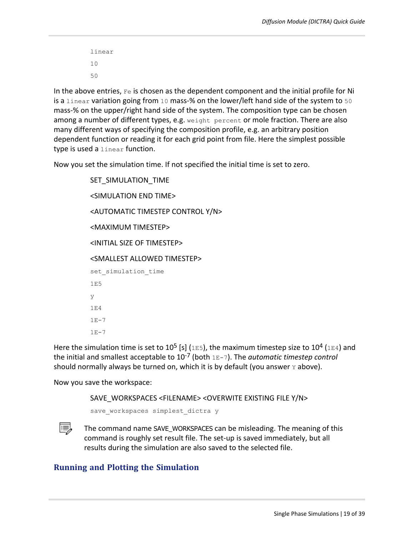linear 10 50

In the above entries,  $F \in \mathcal{S}$  is chosen as the dependent component and the initial profile for Ni is a linear variation going from 10 mass-% on the lower/left hand side of the system to 50 mass-% on the upper/right hand side of the system. The composition type can be chosen among a number of different types, e.g. weight percent or mole fraction. There are also many different ways of specifying the composition profile, e.g. an arbitrary position dependent function or reading it for each grid point from file. Here the simplest possible type is used a linear function.

Now you set the simulation time. If not specified the initial time is set to zero.

SET\_SIMULATION\_TIME <SIMULATION END TIME> <AUTOMATIC TIMESTEP CONTROL Y/N> <MAXIMUM TIMESTEP> <INITIAL SIZE OF TIMESTEP> <SMALLEST ALLOWED TIMESTEP> set simulation time 1E5 y 1E4  $1E-7$  $1E-7$ 

Here the simulation time is set to 10<sup>5</sup> [s] (1E5), the maximum timestep size to 10<sup>4</sup> (1E4) and the initial and smallest acceptable to 10-7 (both 1E-7). The *automatic timestep control* should normally always be turned on, which it is by default (you answer  $Y$  above).

Now you save the workspace:

SAVE\_WORKSPACES <FILENAME> <OVERWITE EXISTING FILE Y/N>

save workspaces simplest dictra y



The command name SAVE\_WORKSPACES can be misleading. The meaning of this command is roughly set result file. The set-up is saved immediately, but all results during the simulation are also saved to the selected file.

### **Running and Plotting the Simulation**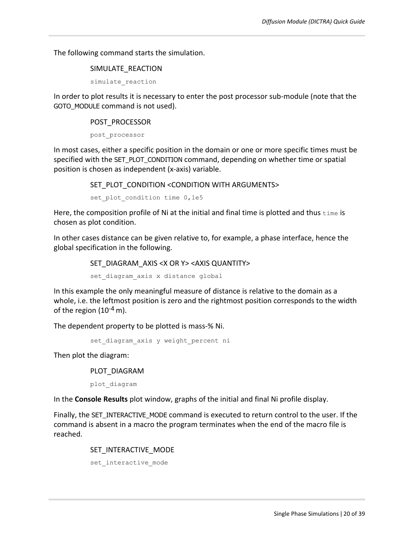The following command starts the simulation.

#### SIMULATE\_REACTION

simulate\_reaction

In order to plot results it is necessary to enter the post processor sub-module (note that the GOTO\_MODULE command is not used).

#### POST\_PROCESSOR

post\_processor

In most cases, either a specific position in the domain or one or more specific times must be specified with the SET\_PLOT\_CONDITION command, depending on whether time or spatial position is chosen as independent (x-axis) variable.

SET\_PLOT\_CONDITION <CONDITION WITH ARGUMENTS>

set plot condition time 0,1e5

Here, the composition profile of Ni at the initial and final time is plotted and thus  $\text{time}$  is chosen as plot condition.

In other cases distance can be given relative to, for example, a phase interface, hence the global specification in the following.

SET\_DIAGRAM\_AXIS <X OR Y> <AXIS QUANTITY>

set diagram axis x distance global

In this example the only meaningful measure of distance is relative to the domain as a whole, i.e. the leftmost position is zero and the rightmost position corresponds to the width of the region  $(10^{-4} \text{ m})$ .

The dependent property to be plotted is mass-% Ni.

set diagram axis y weight percent ni

Then plot the diagram:

PLOT\_DIAGRAM

plot\_diagram

In the **Console Results** plot window, graphs of the initial and final Ni profile display.

Finally, the SET\_INTERACTIVE\_MODE command is executed to return control to the user. If the command is absent in a macro the program terminates when the end of the macro file is reached.

#### SET\_INTERACTIVE\_MODE

set interactive mode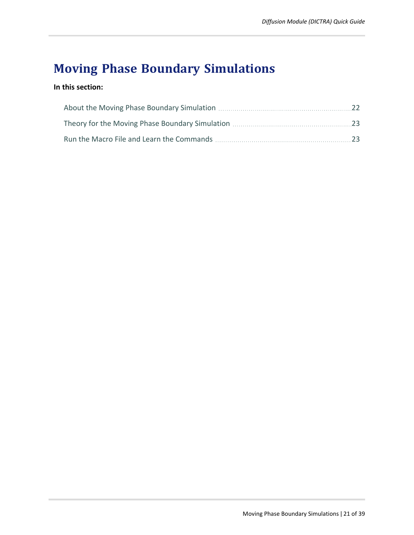# **Moving Phase Boundary Simulations**

### **In this section:**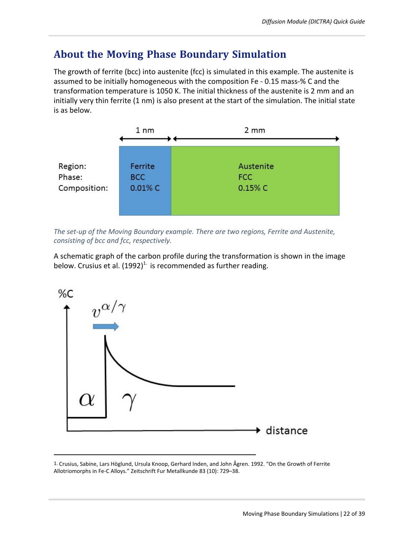## <span id="page-21-0"></span>**About the Moving Phase Boundary Simulation**

The growth of ferrite (bcc) into austenite (fcc) is simulated in this example. The austenite is assumed to be initially homogeneous with the composition Fe - 0.15 mass-% C and the transformation temperature is 1050 K. The initial thickness of the austenite is 2 mm and an initially very thin ferrite (1 nm) is also present at the start of the simulation. The initial state is as below.



*The set-up of the Moving Boundary example. There are two regions, Ferrite and Austenite, consisting of bcc and fcc, respectively.*

A schematic graph of the carbon profile during the transformation is shown in the image below. Crusius et al.  $(1992)^{1}$  is recommended as further reading.



<sup>1.</sup> Crusius, Sabine, Lars Höglund, Ursula Knoop, Gerhard Inden, and John Ågren. 1992. "On the Growth of Ferrite Allotriomorphs in Fe-C Alloys." Zeitschrift Fur Metallkunde 83 (10): 729–38.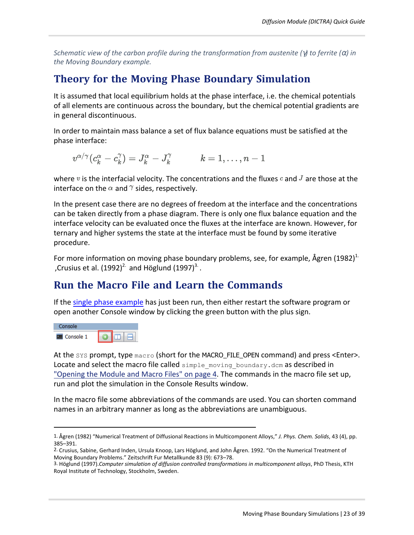<span id="page-22-0"></span>Schematic view of the carbon profile during the transformation from austenite ( $\gamma$ ) to ferrite ( $\alpha$ ) in *the Moving Boundary example.*

# **Theory for the Moving Phase Boundary Simulation**

It is assumed that local equilibrium holds at the phase interface, i.e. the chemical potentials of all elements are continuous across the boundary, but the chemical potential gradients are in general discontinuous.

In order to maintain mass balance a set of flux balance equations must be satisfied at the phase interface:

$$
v^{\alpha/\gamma}(c^{\alpha}_k - c^{\gamma}_k) = J^{\alpha}_k - J^{\gamma}_k \hspace{1cm} k = 1, \ldots, n-1
$$

where v is the interfacial velocity. The concentrations and the fluxes c and J are those at the interface on the  $\alpha$  and  $\gamma$  sides, respectively.

In the present case there are no degrees of freedom at the interface and the concentrations can be taken directly from a phase diagram. There is only one flux balance equation and the interface velocity can be evaluated once the fluxes at the interface are known. However, for ternary and higher systems the state at the interface must be found by some iterative procedure.

For more information on moving phase boundary problems, see, for example, Ågren  $(1982)^{1}$ . ,Crusius et al.  $(1992)^2$  and Höglund  $(1997)^3$ .

# <span id="page-22-1"></span>**Run the Macro File and Learn the Commands**

If the single phase [example](#page-10-0) has just been run, then either restart the software program or open another Console window by clicking the green button with the plus sign.



At the sys prompt, type macro (short for the MACRO\_FILE\_OPEN command) and press <Enter>. Locate and select the macro file called  $\text{simple moving boundary.dim}$  as described in "Opening [the Module](#page-3-2) and Macro Files" on page 4. The commands in the macro file set up, run and plot the simulation in the Console Results window.

In the macro file some abbreviations of the commands are used. You can shorten command names in an arbitrary manner as long as the abbreviations are unambiguous.

<sup>1.</sup> Ågren (1982) "Numerical Treatment of Diffusional Reactions in Multicomponent Alloys," *J. Phys. Chem. Solids*, 43 (4), pp. 385–391.

<sup>2.</sup> Crusius, Sabine, Gerhard Inden, Ursula Knoop, Lars Höglund, and John Ågren. 1992. "On the Numerical Treatment of Moving Boundary Problems." Zeitschrift Fur Metallkunde 83 (9): 673–78.

<sup>3.</sup> Höglund (1997).*Computer simulation of diffusion controlled transformations in multicomponent alloys*, PhD Thesis, KTH Royal Institute of Technology, Stockholm, Sweden.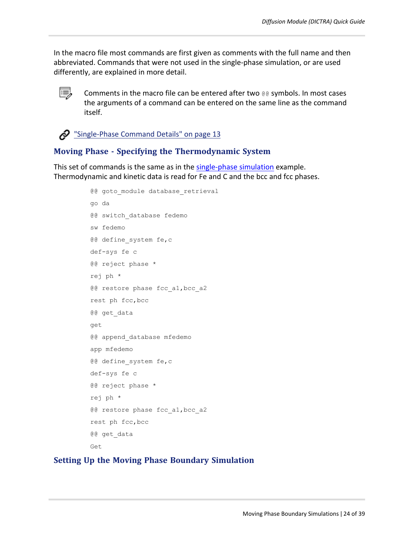In the macro file most commands are first given as comments with the full name and then abbreviated. Commands that were not used in the single-phase simulation, or are used differently, are explained in more detail.



Comments in the macro file can be entered after two @@ symbols. In most cases the arguments of a command can be entered on the same line as the command itself.

 $\clubsuit$  ["Single-Phase](#page-12-0) Command Details" on page 13

### **Moving Phase - Specifying the Thermodynamic System**

This set of commands is the same as in the [single-phase](#page-12-0) simulation example. Thermodynamic and kinetic data is read for Fe and C and the bcc and fcc phases.

```
@@ goto module database retrieval
go da
@@ switch_database fedemo
sw fedemo
@@ define system fe,c
def-sys fe c
@@ reject phase *
rej ph *
@@ restore phase fcc a1, bcc a2
rest ph fcc,bcc
@@ get_data
get
@@ append_database mfedemo
app mfedemo
@@ define system fe,c
def-sys fe c
@@ reject phase *
rej ph *
@@ restore phase fcc a1, bcc a2
rest ph fcc,bcc
@@ get_data
Get
```
#### **Setting Up the Moving Phase Boundary Simulation**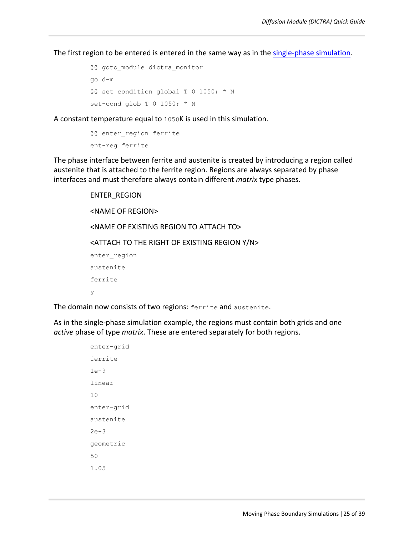The first region to be entered is entered in the same way as in the [single-phase](#page-12-0) simulation.

```
@@ goto module dictra monitor
go d-m
@@ set condition global T 0 1050; * N
set-cond glob T 0 1050; * N
```
A constant temperature equal to 1050K is used in this simulation.

```
@@ enter region ferrite
ent-reg ferrite
```
The phase interface between ferrite and austenite is created by introducing a region called austenite that is attached to the ferrite region. Regions are always separated by phase interfaces and must therefore always contain different *matrix* type phases.

```
ENTER_REGION
<NAME OF REGION>
<NAME OF EXISTING REGION TO ATTACH TO>
<ATTACH TO THE RIGHT OF EXISTING REGION Y/N>
enter region
austenite
ferrite
y
```
The domain now consists of two regions: ferrite and austenite.

As in the single-phase simulation example, the regions must contain both grids and one *active* phase of type *matrix*. These are entered separately for both regions.

```
enter-grid
ferrite
1e-9
linear
10
enter-grid
austenite
2e-3
geometric
50
1.05
```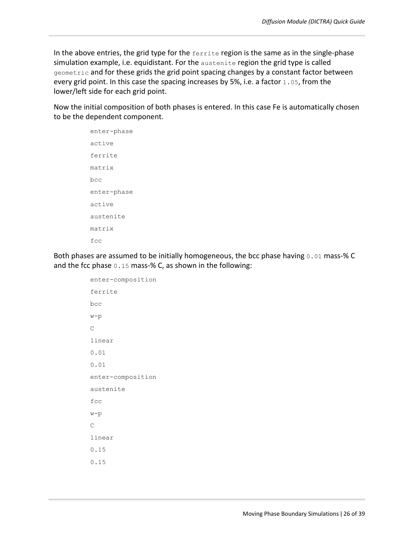In the above entries, the grid type for the  $f$ errite region is the same as in the single-phase simulation example, i.e. equidistant. For the austenite region the grid type is called geometric and for these grids the grid point spacing changes by a constant factor between every grid point. In this case the spacing increases by 5%, i.e. a factor 1.05, from the lower/left side for each grid point.

Now the initial composition of both phases is entered. In this case Fe is automatically chosen to be the dependent component.

> enter-phase active ferrite matrix bcc enter-phase active austenite matrix fcc

Both phases are assumed to be initially homogeneous, the bcc phase having 0.01 mass-% C and the fcc phase 0.15 mass-% C, as shown in the following:

```
enter-composition
ferrite
bcc
w-p
C
linear
0.01
0.01
enter-composition
austenite
fcc
w-p
\overline{C}linear
0.15
0.15
```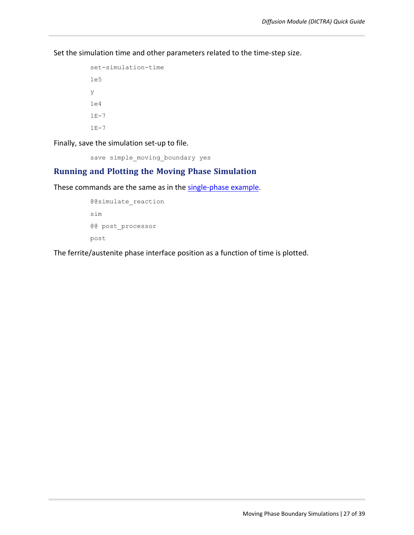Set the simulation time and other parameters related to the time-step size.

```
set-simulation-time
1e5
y
1e4
1E-71E-7
```
Finally, save the simulation set-up to file.

save simple moving boundary yes

### **Running and Plotting the Moving Phase Simulation**

These commands are the same as in the [single-phase](#page-12-0) example.

```
@@simulate_reaction
sim
@@ post_processor
post
```
The ferrite/austenite phase interface position as a function of time is plotted.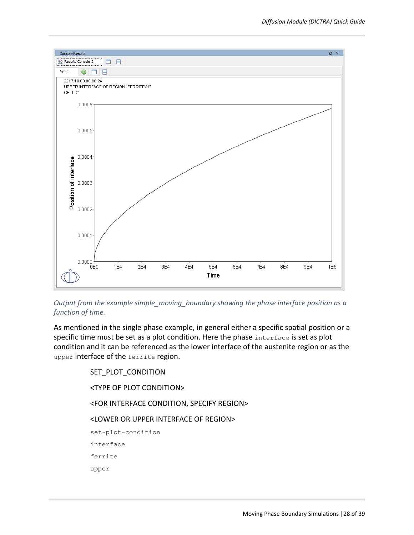

*Output from the example simple\_moving\_boundary showing the phase interface position as a function of time.*

As mentioned in the single phase example, in general either a specific spatial position or a specific time must be set as a plot condition. Here the phase interface is set as plot condition and it can be referenced as the lower interface of the austenite region or as the upper interface of the ferrite region.

> SET\_PLOT\_CONDITION <TYPE OF PLOT CONDITION> <FOR INTERFACE CONDITION, SPECIFY REGION> <LOWER OR UPPER INTERFACE OF REGION> set-plot-condition interface ferrite upper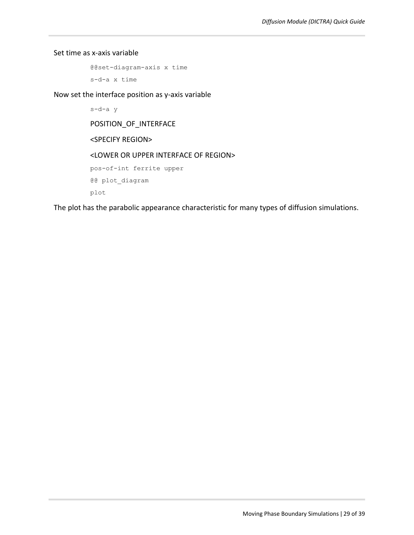Set time as x-axis variable

@@set-diagram-axis x time s-d-a x time

Now set the interface position as y-axis variable

s-d-a y POSITION\_OF\_INTERFACE <SPECIFY REGION> <LOWER OR UPPER INTERFACE OF REGION> pos-of-int ferrite upper @@ plot\_diagram plot

The plot has the parabolic appearance characteristic for many types of diffusion simulations.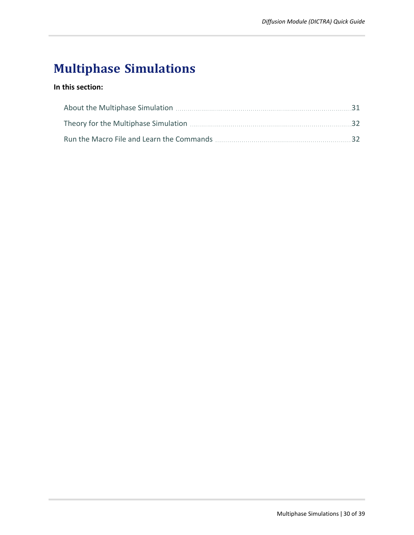# **Multiphase Simulations**

### **In this section:**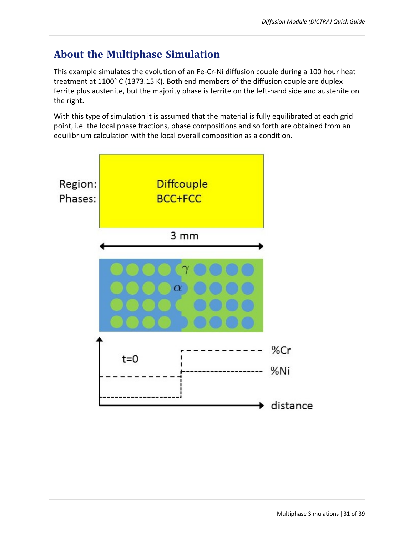# <span id="page-30-0"></span>**About the Multiphase Simulation**

This example simulates the evolution of an Fe-Cr-Ni diffusion couple during a 100 hour heat treatment at 1100° C (1373.15 K). Both end members of the diffusion couple are duplex ferrite plus austenite, but the majority phase is ferrite on the left-hand side and austenite on the right.

With this type of simulation it is assumed that the material is fully equilibrated at each grid point, i.e. the local phase fractions, phase compositions and so forth are obtained from an equilibrium calculation with the local overall composition as a condition.

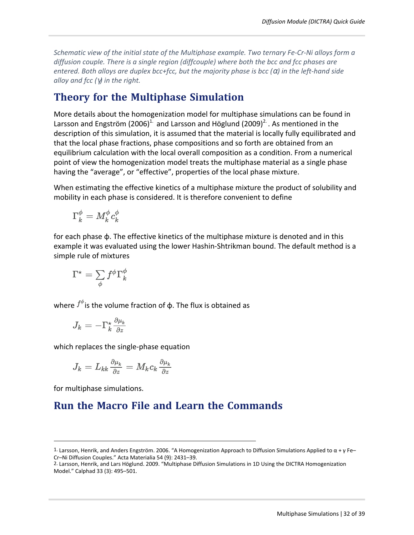*Schematic view of the initial state of the Multiphase example. Two ternary Fe-Cr-Ni alloys form a diffusion couple. There is a single region (diffcouple) where both the bcc and fcc phases are entered. Both alloys are duplex bcc+fcc, but the majority phase is bcc (*α*) in the left-hand side alloy and fcc (*γ*) in the right.*

## <span id="page-31-0"></span>**Theory for the Multiphase Simulation**

More details about the homogenization model for multiphase simulations can be found in Larsson and Engström (2006)<sup>1.</sup> and Larsson and Höglund (2009)<sup>2.</sup> . As mentioned in the description of this simulation, it is assumed that the material is locally fully equilibrated and that the local phase fractions, phase compositions and so forth are obtained from an equilibrium calculation with the local overall composition as a condition. From a numerical point of view the homogenization model treats the multiphase material as a single phase having the "average", or "effective", properties of the local phase mixture.

When estimating the effective kinetics of a multiphase mixture the product of solubility and mobility in each phase is considered. It is therefore convenient to define

$$
\Gamma_k^\phi = M_k^\phi c_k^\phi
$$

for each phase ɸ. The effective kinetics of the multiphase mixture is denoted and in this example it was evaluated using the lower Hashin-Shtrikman bound. The default method is a simple rule of mixtures

$$
\Gamma^\star = \sum_\phi f^\phi \Gamma_k^\phi
$$

where  $f^{\varphi}$  is the volume fraction of  $\Phi$ . The flux is obtained as

$$
J_k=-\Gamma_k^\star\frac{\partial \mu_k}{\partial z}
$$

which replaces the single-phase equation

$$
J_k=L_{kk}\tfrac{\partial \mu_k}{\partial z}=M_kc_k\tfrac{\partial \mu_k}{\partial z}
$$

<span id="page-31-1"></span>for multiphase simulations.

# **Run the Macro File and Learn the Commands**

<sup>1.</sup> Larsson, Henrik, and Anders Engström. 2006. "A Homogenization Approach to Diffusion Simulations Applied to α + γ Fe– Cr–Ni Diffusion Couples." Acta Materialia 54 (9): 2431–39.

<sup>2.</sup> Larsson, Henrik, and Lars Höglund. 2009. "Multiphase Diffusion Simulations in 1D Using the DICTRA Homogenization Model." Calphad 33 (3): 495–501.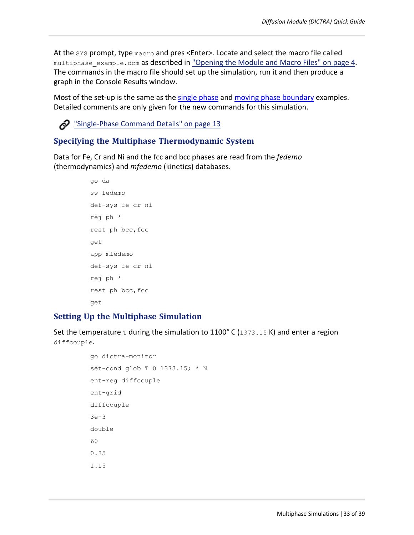At the SYS prompt, type macro and pres <Enter>. Locate and select the macro file called multiphase\_example.dcm as described in "Opening [the Module](#page-3-2) and Macro Files" on page 4. The commands in the macro file should set up the simulation, run it and then produce a graph in the Console Results window.

Most of the set-up is the same as the single [phase](#page-12-0) and moving phase [boundary](#page-22-1) examples. Detailed comments are only given for the new commands for this simulation.



### **Specifying the Multiphase Thermodynamic System**

Data for Fe, Cr and Ni and the fcc and bcc phases are read from the *fedemo* (thermodynamics) and *mfedemo* (kinetics) databases.

```
go da
sw fedemo
def-sys fe cr ni
rej ph *
rest ph bcc,fcc
get
app mfedemo
def-sys fe cr ni
rej ph *
rest ph bcc,fcc
get
```
### **Setting Up the Multiphase Simulation**

Set the temperature  $\texttt{\texttt{T}}$  during the simulation to 1100° C (1373.15 K) and enter a region diffcouple.

```
go dictra-monitor
set-cond glob T 0 1373.15; * N
ent-reg diffcouple
ent-grid
diffcouple
3e-3
double
60
0.85
1.15
```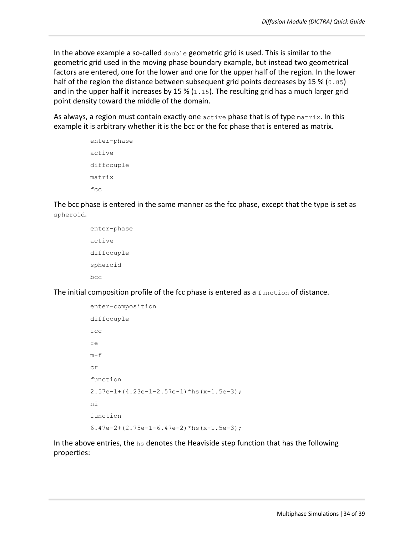In the above example a so-called  $\phi$  double geometric grid is used. This is similar to the geometric grid used in the moving phase boundary example, but instead two geometrical factors are entered, one for the lower and one for the upper half of the region. In the lower half of the region the distance between subsequent grid points decreases by 15 % ( $0.85$ ) and in the upper half it increases by 15 %  $(1.15)$ . The resulting grid has a much larger grid point density toward the middle of the domain.

As always, a region must contain exactly one  $\text{active}$  phase that is of type  $\text{matrix}$ . In this example it is arbitrary whether it is the bcc or the fcc phase that is entered as matrix.

```
enter-phase
active
diffcouple
matrix
fcc
```
The bcc phase is entered in the same manner as the fcc phase, except that the type is set as spheroid.

```
enter-phase
active
diffcouple
spheroid
bcc
```
The initial composition profile of the fcc phase is entered as a  $f$ unction of distance.

```
enter-composition
diffcouple
fcc
fe
m-Fcr
function
2.57e-1+(4.23e-1-2.57e-1)*hs(x-1.5e-3);
ni
function
6.47e-2+(2.75e-1-6.47e-2)*hs(x-1.5e-3);
```
In the above entries, the  $hs$  denotes the Heaviside step function that has the following properties: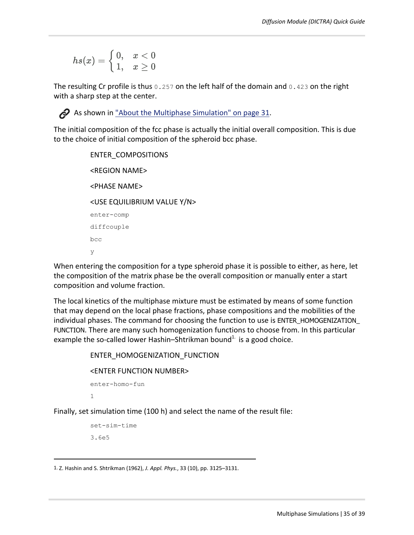$$
hs(x)=\left\{\begin{matrix}0,&x<0\\1,&x\ge0\end{matrix}\right.
$$

The resulting Cr profile is thus 0.257 on the left half of the domain and 0.423 on the right with a sharp step at the center.



As shown in "About the Multiphase [Simulation"](#page-30-0) on page 31.

The initial composition of the fcc phase is actually the initial overall composition. This is due to the choice of initial composition of the spheroid bcc phase.

```
ENTER_COMPOSITIONS
<REGION NAME>
<PHASE NAME>
<USE EQUILIBRIUM VALUE Y/N>
enter-comp
diffcouple
bcc
y
```
When entering the composition for a type spheroid phase it is possible to either, as here, let the composition of the matrix phase be the overall composition or manually enter a start composition and volume fraction.

The local kinetics of the multiphase mixture must be estimated by means of some function that may depend on the local phase fractions, phase compositions and the mobilities of the individual phases. The command for choosing the function to use is ENTER\_HOMOGENIZATION\_ FUNCTION. There are many such homogenization functions to choose from. In this particular example the so-called lower Hashin–Shtrikman bound<sup>1.</sup> is a good choice.

```
ENTER_HOMOGENIZATION_FUNCTION
```
#### <ENTER FUNCTION NUMBER>

```
enter-homo-fun
1
```
Finally, set simulation time (100 h) and select the name of the result file:

```
set-sim-time
3.6e5
```
<sup>1.</sup> Z. Hashin and S. Shtrikman (1962), *J. Appl. Phys.*, 33 (10), pp. 3125–3131.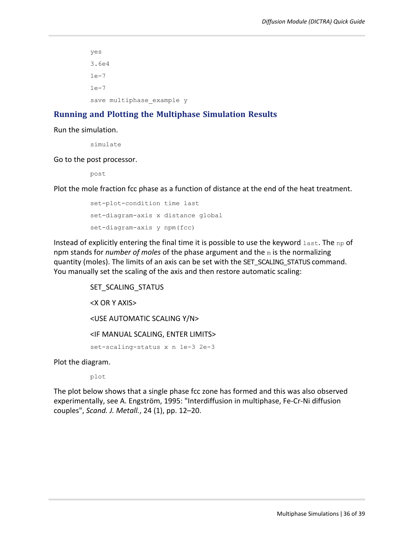yes 3.6e4 1e-7 1e-7 save multiphase example y

### **Running and Plotting the Multiphase Simulation Results**

Run the simulation.

simulate

Go to the post processor.

post

Plot the mole fraction fcc phase as a function of distance at the end of the heat treatment.

```
set-plot-condition time last
set-diagram-axis x distance global
set-diagram-axis y npm(fcc)
```
Instead of explicitly entering the final time it is possible to use the keyword  $\text{last}$ . The np of npm stands for *number of moles* of the phase argument and the m is the normalizing quantity (moles). The limits of an axis can be set with the SET\_SCALING\_STATUS command. You manually set the scaling of the axis and then restore automatic scaling:

> SET\_SCALING\_STATUS <X OR Y AXIS> <USE AUTOMATIC SCALING Y/N> <IF MANUAL SCALING, ENTER LIMITS> set-scaling-status x n 1e-3 2e-3

Plot the diagram.

plot

The plot below shows that a single phase fcc zone has formed and this was also observed experimentally, see A. Engström, 1995: "Interdiffusion in multiphase, Fe-Cr-Ni diffusion couples", *Scand. J. Metall.*, 24 (1), pp. 12–20.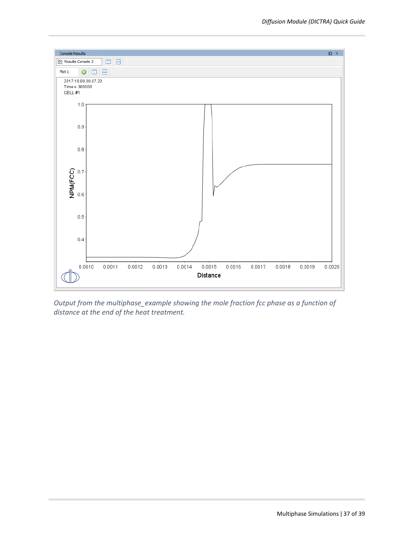

*Output from the multiphase\_example showing the mole fraction fcc phase as a function of distance at the end of the heat treatment.*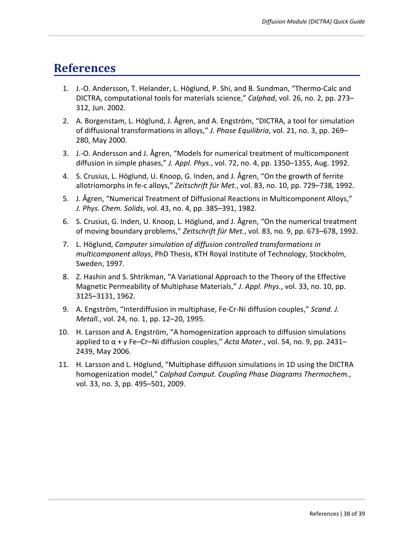# **References**

- 1. J.-O. Andersson, T. Helander, L. Höglund, P. Shi, and B. Sundman, "Thermo-Calc and DICTRA, computational tools for materials science," *Calphad*, vol. 26, no. 2, pp. 273– 312, Jun. 2002.
- 2. A. Borgenstam, L. Höglund, J. Ågren, and A. Engström, "DICTRA, a tool for simulation of diffusional transformations in alloys," *J. Phase Equilibria*, vol. 21, no. 3, pp. 269– 280, May 2000.
- 3. J.-O. Andersson and J. Ågren, "Models for numerical treatment of multicomponent diffusion in simple phases," *J. Appl. Phys.*, vol. 72, no. 4, pp. 1350–1355, Aug. 1992.
- 4. S. Crusius, L. Höglund, U. Knoop, G. Inden, and J. Ågren, "On the growth of ferrite allotriomorphs in fe-c alloys," *Zeitschrift für Met.*, vol. 83, no. 10, pp. 729–738, 1992.
- 5. J. Ågren, "Numerical Treatment of Diffusional Reactions in Multicomponent Alloys," *J. Phys. Chem. Solids*, vol. 43, no. 4, pp. 385–391, 1982.
- 6. S. Crusius, G. Inden, U. Knoop, L. Höglund, and J. Ågren, "On the numerical treatment of moving boundary problems," *Zeitschrift für Met.*, vol. 83, no. 9, pp. 673–678, 1992.
- 7. L. Höglund, *Computer simulation of diffusion controlled transformations in multicomponent alloys*, PhD Thesis, KTH Royal Institute of Technology, Stockholm, Sweden, 1997.
- 8. Z. Hashin and S. Shtrikman, "A Variational Approach to the Theory of the Effective Magnetic Permeability of Multiphase Materials," *J. Appl. Phys.*, vol. 33, no. 10, pp. 3125–3131, 1962.
- 9. A. Engström, "Interdiffusion in multiphase, Fe-Cr-Ni diffusion couples," *Scand. J. Metall.*, vol. 24, no. 1, pp. 12–20, 1995.
- 10. H. Larsson and A. Engström, "A homogenization approach to diffusion simulations applied to α + γ Fe–Cr–Ni diffusion couples," *Acta Mater*., vol. 54, no. 9, pp. 2431– 2439, May 2006.
- 11. H. Larsson and L. Höglund, "Multiphase diffusion simulations in 1D using the DICTRA homogenization model," *Calphad Comput. Coupling Phase Diagrams Thermochem.*, vol. 33, no. 3, pp. 495–501, 2009.